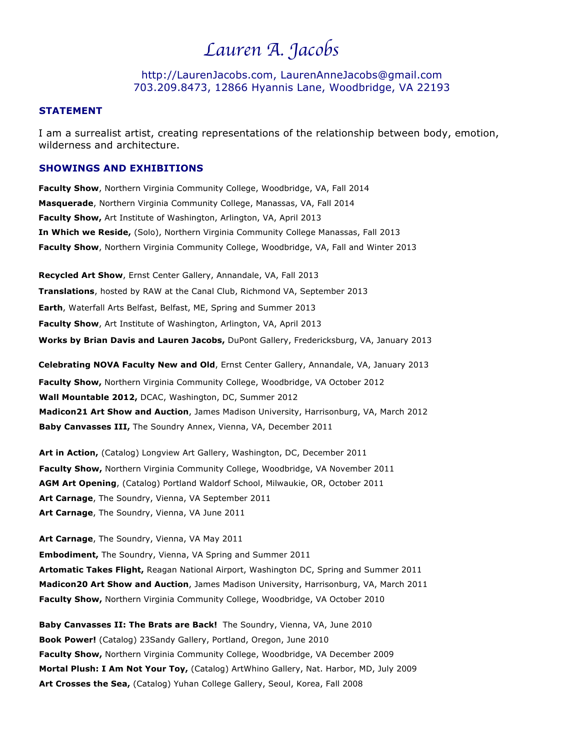## *Lauren A. Jacobs*

http://LaurenJacobs.com, LaurenAnneJacobs@gmail.com 703.209.8473, 12866 Hyannis Lane, Woodbridge, VA 22193

## **STATEMENT**

I am a surrealist artist, creating representations of the relationship between body, emotion, wilderness and architecture.

## **SHOWINGS AND EXHIBITIONS**

**Faculty Show**, Northern Virginia Community College, Woodbridge, VA, Fall 2014 **Masquerade**, Northern Virginia Community College, Manassas, VA, Fall 2014 **Faculty Show,** Art Institute of Washington, Arlington, VA, April 2013 **In Which we Reside,** (Solo), Northern Virginia Community College Manassas, Fall 2013 **Faculty Show**, Northern Virginia Community College, Woodbridge, VA, Fall and Winter 2013

**Recycled Art Show**, Ernst Center Gallery, Annandale, VA, Fall 2013 **Translations**, hosted by RAW at the Canal Club, Richmond VA, September 2013 **Earth**, Waterfall Arts Belfast, Belfast, ME, Spring and Summer 2013 **Faculty Show**, Art Institute of Washington, Arlington, VA, April 2013 **Works by Brian Davis and Lauren Jacobs,** DuPont Gallery, Fredericksburg, VA, January 2013

**Celebrating NOVA Faculty New and Old**, Ernst Center Gallery, Annandale, VA, January 2013 **Faculty Show,** Northern Virginia Community College, Woodbridge, VA October 2012 **Wall Mountable 2012,** DCAC, Washington, DC, Summer 2012 **Madicon21 Art Show and Auction**, James Madison University, Harrisonburg, VA, March 2012 **Baby Canvasses III,** The Soundry Annex, Vienna, VA, December 2011

**Art in Action,** (Catalog) Longview Art Gallery, Washington, DC, December 2011 **Faculty Show,** Northern Virginia Community College, Woodbridge, VA November 2011 **AGM Art Opening**, (Catalog) Portland Waldorf School, Milwaukie, OR, October 2011 **Art Carnage**, The Soundry, Vienna, VA September 2011 **Art Carnage**, The Soundry, Vienna, VA June 2011

**Art Carnage**, The Soundry, Vienna, VA May 2011 **Embodiment,** The Soundry, Vienna, VA Spring and Summer 2011 **Artomatic Takes Flight,** Reagan National Airport, Washington DC, Spring and Summer 2011 **Madicon20 Art Show and Auction**, James Madison University, Harrisonburg, VA, March 2011 **Faculty Show,** Northern Virginia Community College, Woodbridge, VA October 2010

**Baby Canvasses II: The Brats are Back!** The Soundry, Vienna, VA, June 2010 **Book Power!** (Catalog) 23Sandy Gallery, Portland, Oregon, June 2010 **Faculty Show,** Northern Virginia Community College, Woodbridge, VA December 2009 **Mortal Plush: I Am Not Your Toy,** (Catalog) ArtWhino Gallery, Nat. Harbor, MD, July 2009 **Art Crosses the Sea,** (Catalog) Yuhan College Gallery, Seoul, Korea, Fall 2008